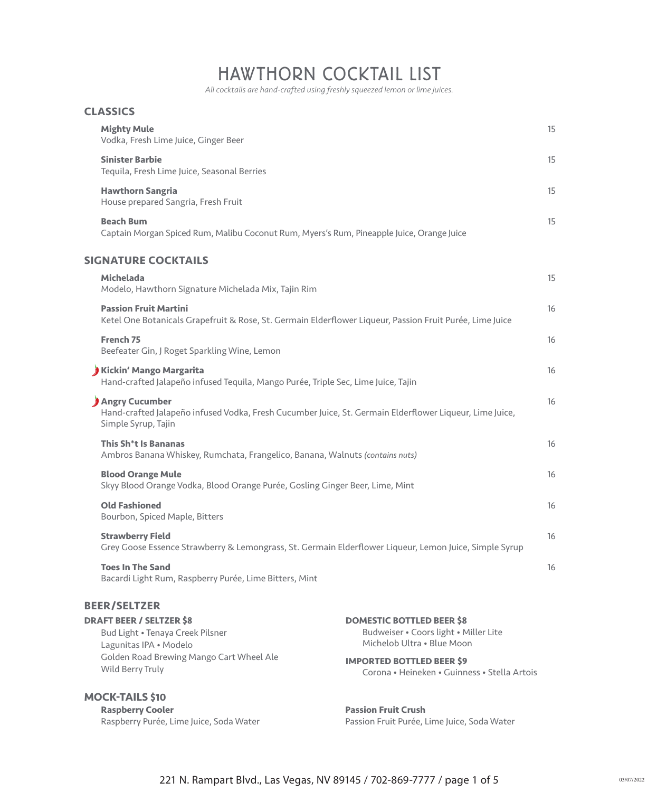# HAWTHORN COCKTAIL LIST

 *All cocktails are hand-crafted using freshly squeezed lemon or lime juices.*

| <b>CLASSICS</b>                                                                                                   |                                                                                                          |    |
|-------------------------------------------------------------------------------------------------------------------|----------------------------------------------------------------------------------------------------------|----|
| <b>Mighty Mule</b><br>Vodka, Fresh Lime Juice, Ginger Beer                                                        |                                                                                                          | 15 |
| <b>Sinister Barbie</b><br>Tequila, Fresh Lime Juice, Seasonal Berries                                             |                                                                                                          | 15 |
| <b>Hawthorn Sangria</b><br>House prepared Sangria, Fresh Fruit                                                    |                                                                                                          | 15 |
| <b>Beach Bum</b><br>Captain Morgan Spiced Rum, Malibu Coconut Rum, Myers's Rum, Pineapple Juice, Orange Juice     |                                                                                                          | 15 |
| <b>SIGNATURE COCKTAILS</b>                                                                                        |                                                                                                          |    |
| <b>Michelada</b><br>Modelo, Hawthorn Signature Michelada Mix, Tajin Rim                                           |                                                                                                          | 15 |
| <b>Passion Fruit Martini</b>                                                                                      | Ketel One Botanicals Grapefruit & Rose, St. Germain Elderflower Liqueur, Passion Fruit Purée, Lime Juice | 16 |
| French <sub>75</sub><br>Beefeater Gin, J Roget Sparkling Wine, Lemon                                              |                                                                                                          | 16 |
| Kickin' Mango Margarita<br>Hand-crafted Jalapeño infused Tequila, Mango Purée, Triple Sec, Lime Juice, Tajin      |                                                                                                          | 16 |
| Angry Cucumber<br>Simple Syrup, Tajin                                                                             | Hand-crafted Jalapeño infused Vodka, Fresh Cucumber Juice, St. Germain Elderflower Liqueur, Lime Juice,  | 16 |
| This Sh <sup>*</sup> t Is Bananas<br>Ambros Banana Whiskey, Rumchata, Frangelico, Banana, Walnuts (contains nuts) |                                                                                                          | 16 |
| <b>Blood Orange Mule</b><br>Skyy Blood Orange Vodka, Blood Orange Purée, Gosling Ginger Beer, Lime, Mint          |                                                                                                          | 16 |
| <b>Old Fashioned</b><br>Bourbon, Spiced Maple, Bitters                                                            |                                                                                                          | 16 |
| <b>Strawberry Field</b>                                                                                           | Grey Goose Essence Strawberry & Lemongrass, St. Germain Elderflower Liqueur, Lemon Juice, Simple Syrup   | 16 |
| <b>Toes In The Sand</b><br>Bacardi Light Rum, Raspberry Purée, Lime Bitters, Mint                                 |                                                                                                          | 16 |
| <b>BEER/SELTZER</b>                                                                                               |                                                                                                          |    |
| <b>DRAFT BEER / SELTZER \$8</b><br>Bud Light . Tenaya Creek Pilsner<br>Lagunitas IPA · Modelo                     | <b>DOMESTIC BOTTLED BEER \$8</b><br>Budweiser · Coors light · Miller Lite<br>Michelob Ultra . Blue Moon  |    |
| Golden Road Brewing Mango Cart Wheel Ale<br>Wild Berry Truly                                                      | <b>IMPORTED BOTTLED BEER \$9</b><br>Corona • Heineken • Guinness • Stella Artois                         |    |
| <b>MOCK-TAILS \$10</b>                                                                                            |                                                                                                          |    |
| <b>Raspberry Cooler</b><br>Raspberry Purée, Lime Juice, Soda Water                                                | <b>Passion Fruit Crush</b><br>Passion Fruit Purée, Lime Juice, Soda Water                                |    |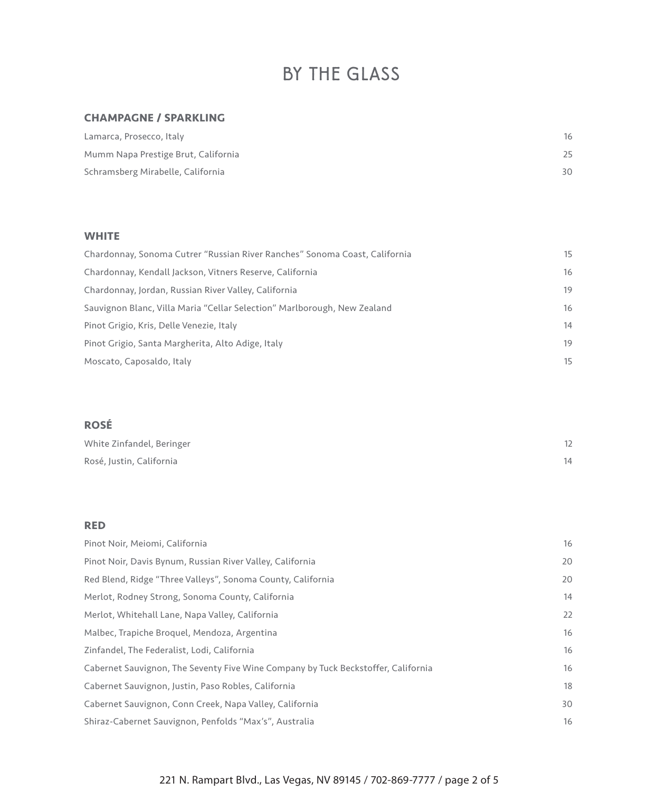# BY THE GLASS

## **CHAMPAGNE / SPARKLING**

| Lamarca, Prosecco, Italy            | 16  |
|-------------------------------------|-----|
| Mumm Napa Prestige Brut, California |     |
| Schramsberg Mirabelle, California   | 30. |

## **WHITE**

| Chardonnay, Sonoma Cutrer "Russian River Ranches" Sonoma Coast, California | 15 |
|----------------------------------------------------------------------------|----|
| Chardonnay, Kendall Jackson, Vitners Reserve, California                   | 16 |
| Chardonnay, Jordan, Russian River Valley, California                       | 19 |
| Sauvignon Blanc, Villa Maria "Cellar Selection" Marlborough, New Zealand   | 16 |
| Pinot Grigio, Kris, Delle Venezie, Italy                                   | 14 |
| Pinot Grigio, Santa Margherita, Alto Adige, Italy                          | 19 |
| Moscato, Caposaldo, Italy                                                  | 15 |

# **ROSÉ**

| White Zinfandel, Beringer |  |
|---------------------------|--|
| Rosé, Justin, California  |  |

## **RED**

| Pinot Noir, Meiomi, California                                                    | 16 |
|-----------------------------------------------------------------------------------|----|
| Pinot Noir, Davis Bynum, Russian River Valley, California                         | 20 |
| Red Blend, Ridge "Three Valleys", Sonoma County, California                       | 20 |
| Merlot, Rodney Strong, Sonoma County, California                                  | 14 |
| Merlot, Whitehall Lane, Napa Valley, California                                   | 22 |
| Malbec, Trapiche Broquel, Mendoza, Argentina                                      | 16 |
| Zinfandel, The Federalist, Lodi, California                                       | 16 |
| Cabernet Sauvignon, The Seventy Five Wine Company by Tuck Beckstoffer, California | 16 |
| Cabernet Sauvignon, Justin, Paso Robles, California                               | 18 |
| Cabernet Sauvignon, Conn Creek, Napa Valley, California                           | 30 |
| Shiraz-Cabernet Sauvignon, Penfolds "Max's", Australia                            | 16 |

# 221 N. Rampart Blvd., Las Vegas, NV 89145 / 702-869-7777 / page 2 of 5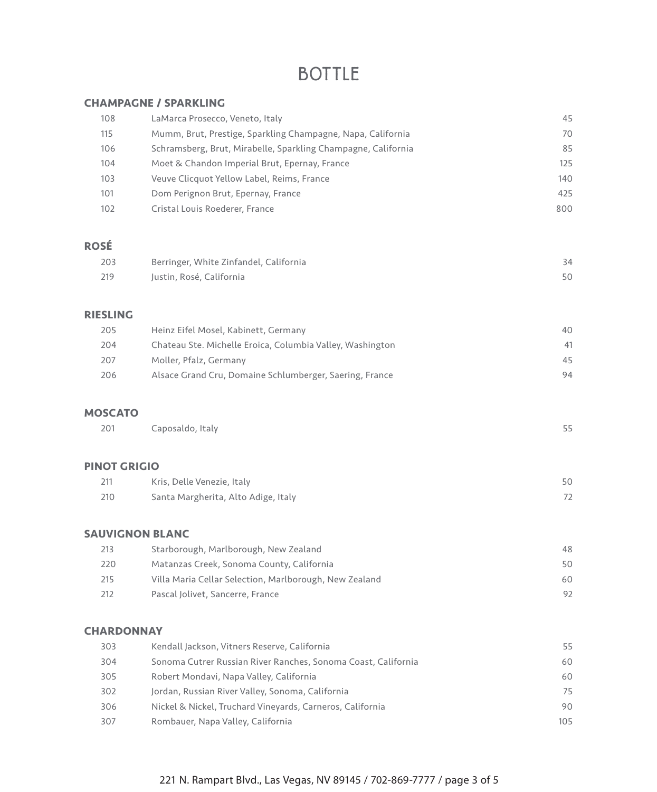# BOTTLE

### **CHAMPAGNE / SPARKLING**

| 108         | LaMarca Prosecco, Veneto, Italy                               | 45  |
|-------------|---------------------------------------------------------------|-----|
| 115         | Mumm, Brut, Prestige, Sparkling Champagne, Napa, California   | 70  |
| 106         | Schramsberg, Brut, Mirabelle, Sparkling Champagne, California | 85  |
| 104         | Moet & Chandon Imperial Brut, Epernay, France                 | 125 |
| 103         | Veuve Clicquot Yellow Label, Reims, France                    | 140 |
| 101         | Dom Perignon Brut, Epernay, France                            | 425 |
| 102         | Cristal Louis Roederer, France                                | 800 |
|             |                                                               |     |
| <b>ROSÉ</b> |                                                               |     |
| 203         | Berringer, White Zinfandel, California                        | 34  |
| 219         | Justin, Rosé, California                                      | 50  |
|             |                                                               |     |

## **RIESLING**

| 205 | Heinz Eifel Mosel, Kabinett, Germany                      | 40 |
|-----|-----------------------------------------------------------|----|
| 204 | Chateau Ste. Michelle Eroica, Columbia Valley, Washington | 41 |
| 207 | Moller, Pfalz, Germany                                    | 45 |
| 206 | Alsace Grand Cru, Domaine Schlumberger, Saering, France   | 94 |

#### **MOSCATO**

| 201<br>Caposaldo, Italy |  |
|-------------------------|--|
|-------------------------|--|

#### **PINOT GRIGIO**

| 211 | Kris, Delle Venezie, Italy          |  |
|-----|-------------------------------------|--|
| 210 | Santa Margherita, Alto Adige, Italy |  |

## **SAUVIGNON BLANC**

| 48 |
|----|
| 50 |
| 60 |
| 92 |
|    |

### **CHARDONNAY**

| 303 | Kendall Jackson, Vitners Reserve, California                  | 55  |
|-----|---------------------------------------------------------------|-----|
| 304 | Sonoma Cutrer Russian River Ranches, Sonoma Coast, California | 60  |
| 305 | Robert Mondavi, Napa Valley, California                       | 60  |
| 302 | Jordan, Russian River Valley, Sonoma, California              | 75  |
| 306 | Nickel & Nickel, Truchard Vineyards, Carneros, California     | 90  |
| 307 | Rombauer, Napa Valley, California                             | 105 |

# 221 N. Rampart Blvd., Las Vegas, NV 89145 / 702-869-7777 / page 3 of 5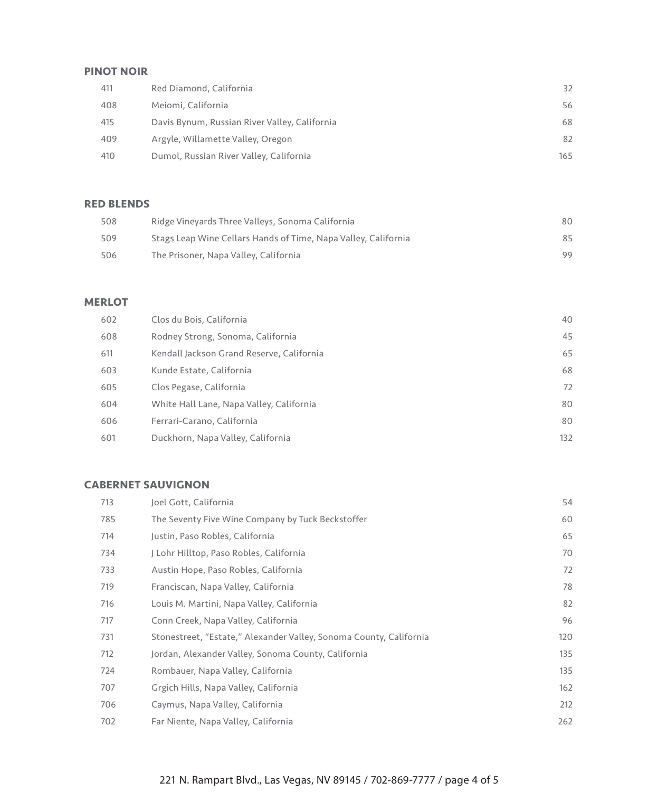## **PINOT NOIR**

| 411 | Red Diamond, California                       | 32   |
|-----|-----------------------------------------------|------|
| 408 | Meiomi, California                            | 56   |
| 415 | Davis Bynum, Russian River Valley, California | 68   |
| 409 | Argyle, Willamette Valley, Oregon             | 82   |
| 410 | Dumol, Russian River Valley, California       | 165. |

## **RED BLENDS**

| 508 | Ridge Vineyards Three Valleys, Sonoma California               | 80. |
|-----|----------------------------------------------------------------|-----|
| 509 | Stags Leap Wine Cellars Hands of Time, Napa Valley, California | 85. |
| 506 | The Prisoner, Napa Valley, California                          | 99  |

## **MERLOT**

| 602 | Clos du Bois, California                  | 40  |
|-----|-------------------------------------------|-----|
| 608 | Rodney Strong, Sonoma, California         | 45  |
| 611 | Kendall Jackson Grand Reserve, California | 65  |
| 603 | Kunde Estate, California                  | 68  |
| 605 | Clos Pegase, California                   | 72  |
| 604 | White Hall Lane, Napa Valley, California  | 80  |
| 606 | Ferrari-Carano, California                | 80  |
| 601 | Duckhorn, Napa Valley, California         | 132 |

## **CABERNET SAUVIGNON**

| 713 | Joel Gott, California                                              | 54  |
|-----|--------------------------------------------------------------------|-----|
| 785 | The Seventy Five Wine Company by Tuck Beckstoffer                  | 60  |
| 714 | Justin, Paso Robles, California                                    | 65  |
| 734 | J Lohr Hilltop, Paso Robles, California                            | 70  |
| 733 | Austin Hope, Paso Robles, California                               | 72  |
| 719 | Franciscan, Napa Valley, California                                | 78  |
| 716 | Louis M. Martini, Napa Valley, California                          | 82  |
| 717 | Conn Creek, Napa Valley, California                                | 96  |
| 731 | Stonestreet, "Estate," Alexander Valley, Sonoma County, California | 120 |
| 712 | Jordan, Alexander Valley, Sonoma County, California                | 135 |
| 724 | Rombauer, Napa Valley, California                                  | 135 |
| 707 | Grgich Hills, Napa Valley, California                              | 162 |
| 706 | Caymus, Napa Valley, California                                    | 212 |
| 702 | Far Niente, Napa Valley, California                                | 262 |